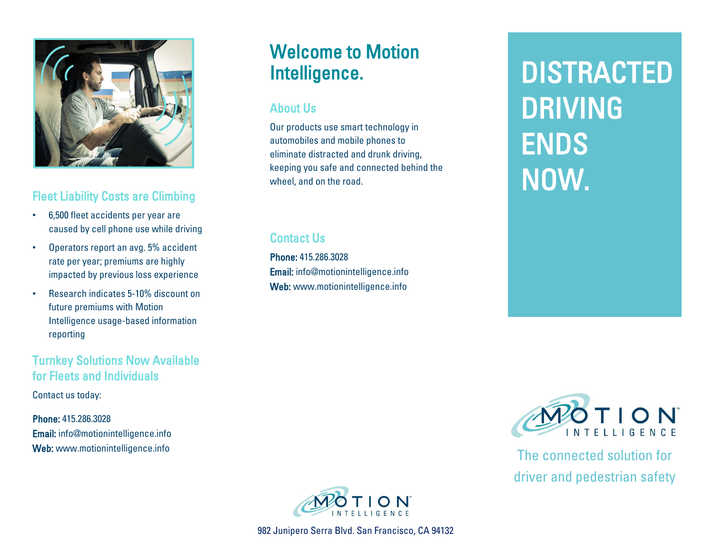

### Fleet Liability Costs are Climbing

- 6,500 fleet accidents per year are caused by cell phone use while driving
- Operators report an avg. 5% accident rate per year; premiums are highly impacted by previous loss experience
- Research indicates 5-10% discount on future premiums with Motion Intelligence usage-based information reporting

### Turnkey Solutions Now Available for Fleets and Individuals

Contact us today:

Phone: 415.286.3028 Email: info@motionintelligence.info Web: www.motionintelligence.info

# Welcome to Motion Intelligence.

### About Us

Our products use smart technology in automobiles and mobile phones to eliminate distracted and drunk driving, keeping you safe and connected behind the wheel, and on the road.

### Contact Us

Phone: 415.286.3028 Email: info@motionintelligence.info Web: www.motionintelligence.info

**DISTRACTED** DRIVING ENDS NOW.



982 Junipero Serra Blvd. San Francisco, CA 94132



The connected solution for driver and pedestrian safety